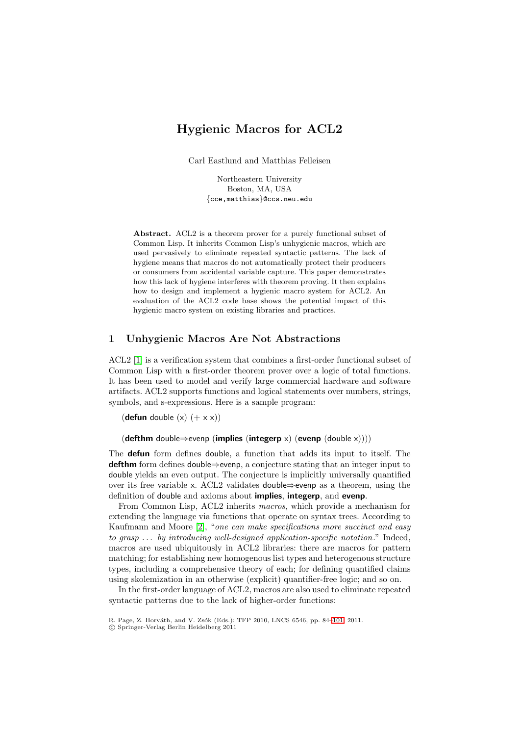# **Hygienic Macros for ACL2**

Carl Eastlund and Matthias Felleisen

Northeastern University Boston, MA, USA {cce,matthias}@ccs.neu.edu

**Abstract.** ACL2 is a theorem prover for a purely functional subset of Common Lisp. It inherits Common Lisp's unhygienic macros, which are used pervasively to eliminate repeated syntactic patterns. The lack of hygiene means that macros do not automatically protect their producers or consumers from accidental variable capture. This paper demonstrates how this lack of hygiene interferes with theorem proving. It then explains how to design and implement a hygienic macro system for ACL2. An evaluation of the ACL2 code base shows the potential impact of this hygienic macro system on existing libraries and practices.

## <span id="page-0-0"></span>**1 Unhygienic Macros Are Not Abstractions**

ACL2 [\[1\]](#page-17-0) is a verification system that combines a first-order functional subset of Common Lisp with a first-order theorem prover over a logic of total functions. It has been used to model and verify large commercial hardware and software artifacts. ACL2 supports functions and logical statements over numbers, strings, symbols, and s-expressions. Here is a sample program:

(**defun** double  $(x)$   $(+ x x)$ )

#### (**defthm** double⇒evenp (**implies** (**integerp** x) (**evenp** (double x))))

The **defun** form defines double, a function that adds its input to itself. The **defthm** form defines double⇒evenp, a conjecture stating that an integer input to double yields an even output. The conjecture is implicitly universally quantified over its free variable x. ACL2 validates double⇒evenp as a theorem, using the definition of double and axioms about **implies**, **integerp**, and **evenp**.

From Common Lisp, ACL2 inherits *macros*, which provide a mechanism for extending the language via functions that operate on syntax trees. According to Kaufmann and Moore [\[2\]](#page-17-1), "*one can make specifications more succinct and easy to grasp . . . by introducing well-designed application-specific notation.*" Indeed, macros are used ubiquitously in ACL2 libraries: there are macros for pattern matching; for establishing new homogenous list types and heterogenous structure types, including a comprehensive theory of each; for defining quantified claims using skolemization in an otherwise (explicit) quantifier-free logic; and so on.

In the first-order language of ACL2, macros are also used to eliminate repeated syntactic patterns due to the lack of higher-order functions:

R. Page, Z. Horváth, and V. Zsók (Eds.): TFP 2010, LNCS 6546, pp. 84[–101,](#page-17-2) 2011.

<sup>-</sup>c Springer-Verlag Berlin Heidelberg 2011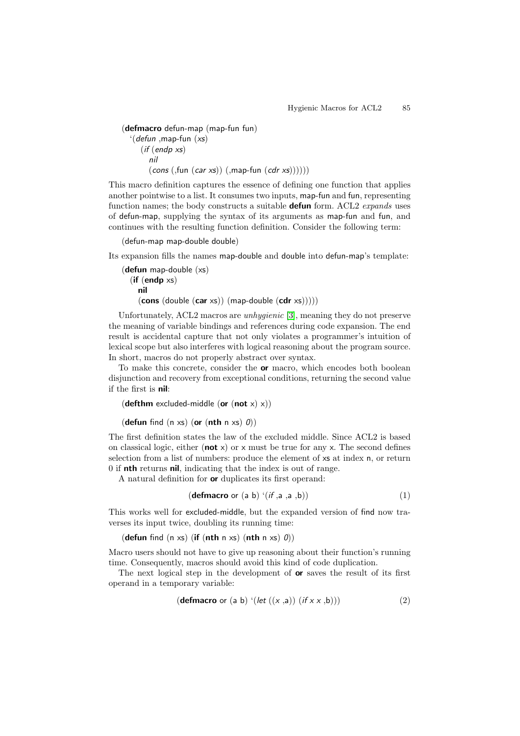(**defmacro** defun-map (map-fun fun) '(*defun* ,map-fun (*xs*) (*if* (*endp xs*) *nil* (*cons* (,fun (*car xs*)) (,map-fun (*cdr xs*))))))

This macro definition captures the essence of defining one function that applies another pointwise to a list. It consumes two inputs, map-fun and fun, representing function names; the body constructs a suitable **defun** form. ACL2 *expands* uses of defun-map, supplying the syntax of its arguments as map-fun and fun, and continues with the resulting function definition. Consider the following term:

(defun-map map-double double)

Its expansion fills the names map-double and double into defun-map's template:

(**defun** map-double (xs) (**if** (**endp** xs) **nil** (**cons** (double (**car** xs)) (map-double (**cdr** xs)))))

Unfortunately, ACL2 macros are *unhygienic* [\[3\]](#page-17-3), meaning they do not preserve the meaning of variable bindings and references during code expansion. The end result is accidental capture that not only violates a programmer's intuition of lexical scope but also interferes with logical reasoning about the program source. In short, macros do not properly abstract over syntax.

To make this concrete, consider the **or** macro, which encodes both boolean disjunction and recovery from exceptional conditions, returning the second value if the first is **nil**:

(**defthm** excluded-middle (**or** (**not** x) x))

(**defun** find (n xs) (**or** (**nth** n xs) *0*))

The first definition states the law of the excluded middle. Since ACL2 is based on classical logic, either (**not** x) or x must be true for any x. The second defines selection from a list of numbers: produce the element of xs at index n, or return 0 if **nth** returns **nil**, indicating that the index is out of range.

A natural definition for **or** duplicates its first operand:

$$
(\text{defmacro or } (a b) '(if , a , a , b))
$$
\n
$$
(1)
$$

This works well for excluded-middle, but the expanded version of find now traverses its input twice, doubling its running time:

(**defun** find (n xs) (**if** (**nth** n xs) (**nth** n xs) *0*))

Macro users should not have to give up reasoning about their function's running time. Consequently, macros should avoid this kind of code duplication.

The next logical step in the development of **or** saves the result of its first operand in a temporary variable:

<span id="page-1-0"></span>
$$
(\text{defmacro or (a b)} '(let ((x,a)) (if x x,b))) \tag{2}
$$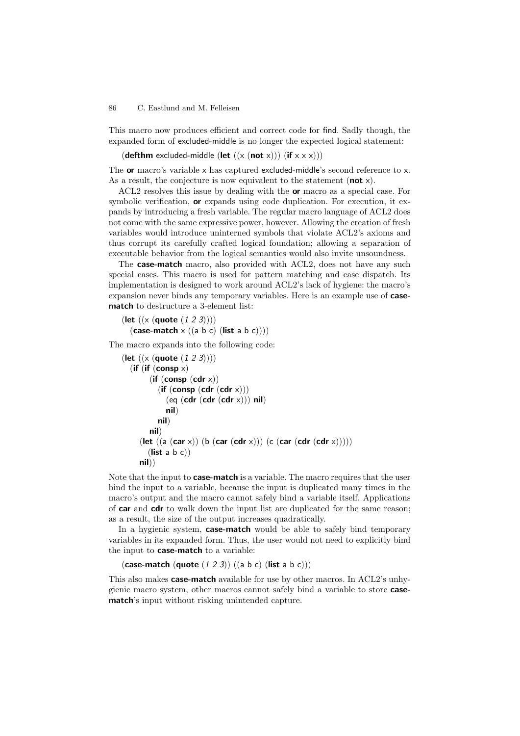This macro now produces efficient and correct code for find. Sadly though, the expanded form of excluded-middle is no longer the expected logical statement:

(**defthm** excluded-middle (**let** ((x (**not** x))) (**if** xxx)))

The **or** macro's variable x has captured excluded-middle's second reference to x. As a result, the conjecture is now equivalent to the statement (**not** x).

ACL2 resolves this issue by dealing with the **or** macro as a special case. For symbolic verification, **or** expands using code duplication. For execution, it expands by introducing a fresh variable. The regular macro language of ACL2 does not come with the same expressive power, however. Allowing the creation of fresh variables would introduce uninterned symbols that violate ACL2's axioms and thus corrupt its carefully crafted logical foundation; allowing a separation of executable behavior from the logical semantics would also invite unsoundness.

The **case-match** macro, also provided with ACL2, does not have any such special cases. This macro is used for pattern matching and case dispatch. Its implementation is designed to work around ACL2's lack of hygiene: the macro's expansion never binds any temporary variables. Here is an example use of **casematch** to destructure a 3-element list:

(**let** ((x (**quote** (*123*)))) (**case-match** x ((abc) (**list** abc))))

The macro expands into the following code:

```
(let ((x (quote (123))))
  (if (if (consp x)
       (if (consp (cdr x))
          (if (consp (cdr (cdr x)))
            (eq (cdr (cdr (cdr x))) nil)
            nil)
          nil)
       nil)
     (let ((a (car x)) (b (car (cdr x))) (c (car (cdr (cdr x)))))
       (list abc))
    nil))
```
Note that the input to **case-match** is a variable. The macro requires that the user bind the input to a variable, because the input is duplicated many times in the macro's output and the macro cannot safely bind a variable itself. Applications of **car** and **cdr** to walk down the input list are duplicated for the same reason; as a result, the size of the output increases quadratically.

In a hygienic system, **case-match** would be able to safely bind temporary variables in its expanded form. Thus, the user would not need to explicitly bind the input to **case-match** to a variable:

(**case-match** (**quote** (*123*)) ((abc) (**list** abc)))

This also makes **case-match** available for use by other macros. In ACL2's unhygienic macro system, other macros cannot safely bind a variable to store **casematch**'s input without risking unintended capture.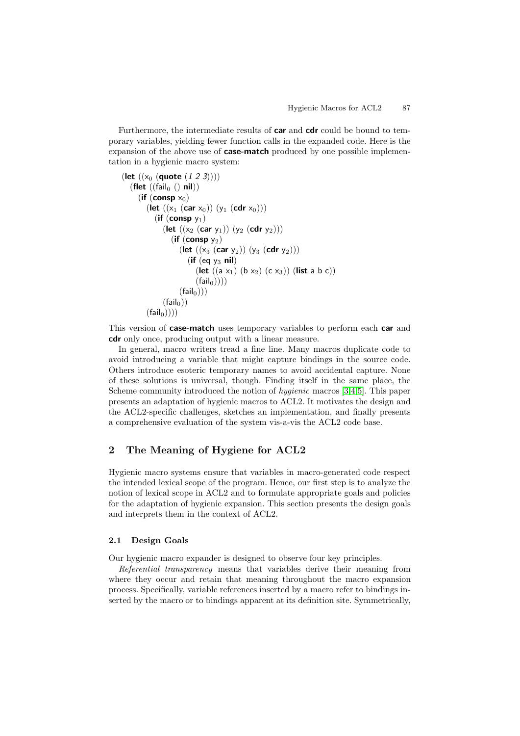Furthermore, the intermediate results of **car** and **cdr** could be bound to temporary variables, yielding fewer function calls in the expanded code. Here is the expansion of the above use of **case-match** produced by one possible implementation in a hygienic macro system:

```
(let ((x0 (quote (123))))
   (flet ((fail<sub>0</sub> () nil))
       (if (consp x_0)
           (let ((x_1 \text{ (car } x_0)) (y_1 \text{ (cdr } x_0)))(if (consp y1)
                   (<b>let</b> ((x<sub>2</sub> (<b>car</b> y<sub>1</sub>)) (y<sub>2</sub> (<b>cdr</b> y<sub>2</sub>)))(if (consp y_2)
                          (let ((x3 (car y2)) (y3 (cdr y2)))
                              (if (eq y3 nil)
                                  (let ((a x<sub>1</sub>) (b x<sub>2</sub>) (c x<sub>3</sub>)) (list a b c))
                                  (fail<sub>0</sub>))))(fail<sub>0</sub>)))(fail<sub>0</sub>)(fail<sub>0</sub>))))
```
This version of **case-match** uses temporary variables to perform each **car** and **cdr** only once, producing output with a linear measure.

In general, macro writers tread a fine line. Many macros duplicate code to avoid introducing a variable that might capture bindings in the source code. Others introduce esoteric temporary names to avoid accidental capture. None of these solutions is universal, though. Finding itself in the same place, the Scheme community introduced the notion of *hygienic* macros [\[3](#page-17-3)[,4,](#page-17-4)[5\]](#page-17-5). This paper presents an adaptation of hygienic macros to ACL2. It motivates the design and the ACL2-specific challenges, sketches an implementation, and finally presents a comprehensive evaluation of the system vis-a-vis the ACL2 code base.

## **2 The Meaning of Hygiene for ACL2**

Hygienic macro systems ensure that variables in macro-generated code respect the intended lexical scope of the program. Hence, our first step is to analyze the notion of lexical scope in ACL2 and to formulate appropriate goals and policies for the adaptation of hygienic expansion. This section presents the design goals and interprets them in the context of ACL2.

## **2.1 Design Goals**

Our hygienic macro expander is designed to observe four key principles.

*Referential transparency* means that variables derive their meaning from where they occur and retain that meaning throughout the macro expansion process. Specifically, variable references inserted by a macro refer to bindings inserted by the macro or to bindings apparent at its definition site. Symmetrically,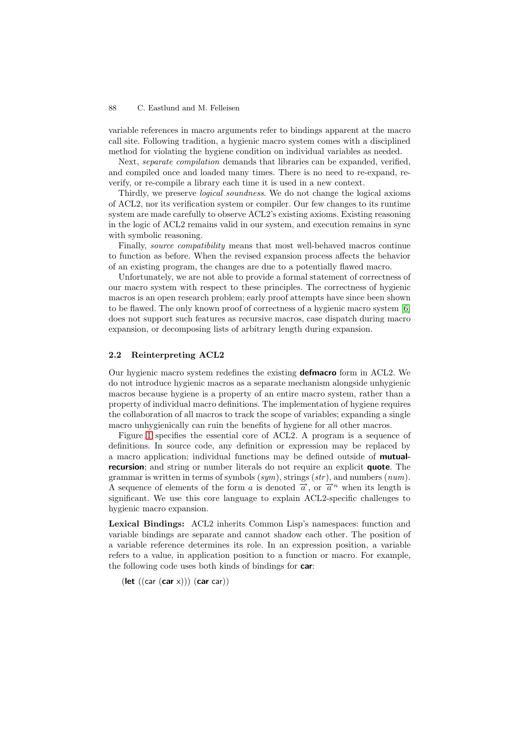variable references in macro arguments refer to bindings apparent at the macro call site. Following tradition, a hygienic macro system comes with a disciplined method for violating the hygiene condition on individual variables as needed.

Next, *separate compilation* demands that libraries can be expanded, verified, and compiled once and loaded many times. There is no need to re-expand, reverify, or re-compile a library each time it is used in a new context.

Thirdly, we preserve *logical soundness*. We do not change the logical axioms of ACL2, nor its verification system or compiler. Our few changes to its runtime system are made carefully to observe ACL2's existing axioms. Existing reasoning in the logic of ACL2 remains valid in our system, and execution remains in sync with symbolic reasoning.

Finally, *source compatibility* means that most well-behaved macros continue to function as before. When the revised expansion process affects the behavior of an existing program, the changes are due to a potentially flawed macro.

Unfortunately, we are not able to provide a formal statement of correctness of our macro system with respect to these principles. The correctness of hygienic macros is an open research problem; early proof attempts have since been shown to be flawed. The only known proof of correctness of a hygienic macro system [\[6\]](#page-17-6) does not support such features as recursive macros, case dispatch during macro expansion, or decomposing lists of arbitrary length during expansion.

## **2.2 Reinterpreting ACL2**

Our hygienic macro system redefines the existing **defmacro** form in ACL2. We do not introduce hygienic macros as a separate mechanism alongside unhygienic macros because hygiene is a property of an entire macro system, rather than a property of individual macro definitions. The implementation of hygiene requires the collaboration of all macros to track the scope of variables; expanding a single macro unhygienically can ruin the benefits of hygiene for all other macros.

Figure [1](#page-5-0) specifies the essential core of ACL2. A program is a sequence of definitions. In source code, any definition or expression may be replaced by a macro application; individual functions may be defined outside of **mutualrecursion**; and string or number literals do not require an explicit **quote**. The grammar is written in terms of symbols (*sym*), strings (*str* ), and numbers (*num*). A sequence of elements of the form a is denoted  $\vec{a}$ , or  $\vec{a}^n$  when its length is significant. We use this core language to explain ACL2-specific challenges to hygienic macro expansion.

**Lexical Bindings:** ACL2 inherits Common Lisp's namespaces: function and variable bindings are separate and cannot shadow each other. The position of a variable reference determines its role. In an expression position, a variable refers to a value, in application position to a function or macro. For example, the following code uses both kinds of bindings for **car**:

(**let** ((car (**car** x))) (**car** car))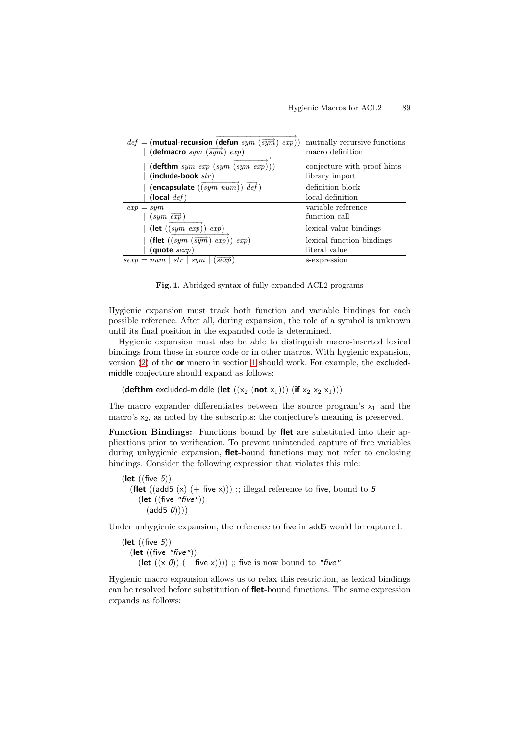| $def = (mutual-recursion (defun sym (sym) exp))$<br>(defmacro sym $(\overrightarrow{sym})$ exp) | mutually recursive functions<br>macro definition |
|-------------------------------------------------------------------------------------------------|--------------------------------------------------|
| $(\text{defthm} \, \textit{sym} \, \textit{exp} \, \, (\textit{sym} \, \, \textit{exp}))$       | conjecture with proof hints                      |
| $(include-book str)$<br>(encapsulate((sym num)) def)                                            | library import<br>definition block               |
| (local $def)$                                                                                   | local definition                                 |
| $exp = sym$<br>$(sym \overrightarrow{exp})$                                                     | variable reference<br>function call              |
| $(\text{let } ((sym \; exp)) \; exp)$                                                           | lexical value bindings                           |
| (flet $((sym (\overrightarrow{sym}) exp))$<br>$\vert exp \rangle$                               | lexical function bindings                        |
| (quote $\mathit{sexp}$ )                                                                        | literal value                                    |
| str<br>$sexp = num$<br>sym<br>sexp                                                              | s-expression                                     |

<span id="page-5-0"></span>**Fig. 1.** Abridged syntax of fully-expanded ACL2 programs

Hygienic expansion must track both function and variable bindings for each possible reference. After all, during expansion, the role of a symbol is unknown until its final position in the expanded code is determined.

Hygienic expansion must also be able to distinguish macro-inserted lexical bindings from those in source code or in other macros. With hygienic expansion, version [\(2\)](#page-1-0) of the **or** macro in section [1](#page-0-0) should work. For example, the excludedmiddle conjecture should expand as follows:

(**defthm** excluded-middle (let  $((x_2 \text{ (not } x_1)))$  (if  $x_2 \times_2 x_1$ )))

The macro expander differentiates between the source program's  $x_1$  and the macro's  $x_2$ , as noted by the subscripts; the conjecture's meaning is preserved.

**Function Bindings:** Functions bound by **flet** are substituted into their applications prior to verification. To prevent unintended capture of free variables during unhygienic expansion, **flet**-bound functions may not refer to enclosing bindings. Consider the following expression that violates this rule:

(**let** ((five *5*)) (**flet** ((add5 (x)  $(+$  five x))) ;; illegal reference to five, bound to 5 (**let** ((five *"five"*)) (add5 *0*))))

Under unhygienic expansion, the reference to five in add5 would be captured:

(**let** ((five *5*)) (**let** ((five *"five"*))  $(\text{let } ((x 0)) (+ \text{ five } x))))$ ;; five is now bound to *"five"* 

Hygienic macro expansion allows us to relax this restriction, as lexical bindings can be resolved before substitution of **flet**-bound functions. The same expression expands as follows: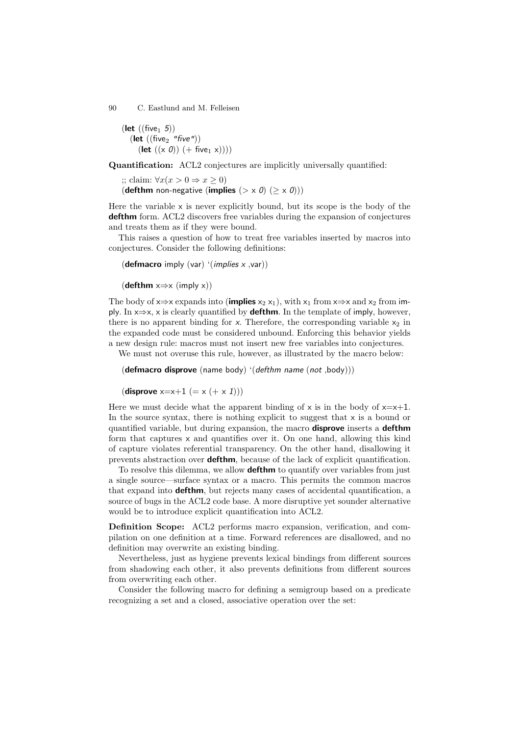$(\text{let } ((\text{five}_1 \space 5)))$ (**let** ((five<sup>2</sup> *"five"*))  $(\text{let } ((x 0)) (+ \text{ five}_1 x))))$ 

**Quantification:** ACL2 conjectures are implicitly universally quantified:

;; claim:  $\forall x(x>0 \Rightarrow x \geq 0)$ (**defthm** non-negative (**implies**  $(>\times 0)$   $(>\times 0)$ )

Here the variable x is never explicitly bound, but its scope is the body of the **defthm** form. ACL2 discovers free variables during the expansion of conjectures and treats them as if they were bound.

This raises a question of how to treat free variables inserted by macros into conjectures. Consider the following definitions:

(**defmacro** imply (var) '(*implies x* ,var))

(**defthm** x⇒x (imply x))

The body of  $x \Rightarrow x$  expands into (**implies**  $x_2 x_1$ ), with  $x_1$  from  $x \Rightarrow x$  and  $x_2$  from imply. In x⇒x, x is clearly quantified by **defthm**. In the template of imply, however, there is no apparent binding for  $x$ . Therefore, the corresponding variable  $x_2$  in the expanded code must be considered unbound. Enforcing this behavior yields a new design rule: macros must not insert new free variables into conjectures.

We must not overuse this rule, however, as illustrated by the macro below:

(**defmacro disprove** (name body) '(*defthm name* (*not* ,body)))

 $(disprove x=x+1 (= x (+ x 1)))$ 

Here we must decide what the apparent binding of  $x$  is in the body of  $x=x+1$ . In the source syntax, there is nothing explicit to suggest that x is a bound or quantified variable, but during expansion, the macro **disprove** inserts a **defthm** form that captures x and quantifies over it. On one hand, allowing this kind of capture violates referential transparency. On the other hand, disallowing it prevents abstraction over **defthm**, because of the lack of explicit quantification.

To resolve this dilemma, we allow **defthm** to quantify over variables from just a single source—surface syntax or a macro. This permits the common macros that expand into **defthm**, but rejects many cases of accidental quantification, a source of bugs in the ACL2 code base. A more disruptive yet sounder alternative would be to introduce explicit quantification into ACL2.

**Definition Scope:** ACL2 performs macro expansion, verification, and compilation on one definition at a time. Forward references are disallowed, and no definition may overwrite an existing binding.

Nevertheless, just as hygiene prevents lexical bindings from different sources from shadowing each other, it also prevents definitions from different sources from overwriting each other.

Consider the following macro for defining a semigroup based on a predicate recognizing a set and a closed, associative operation over the set: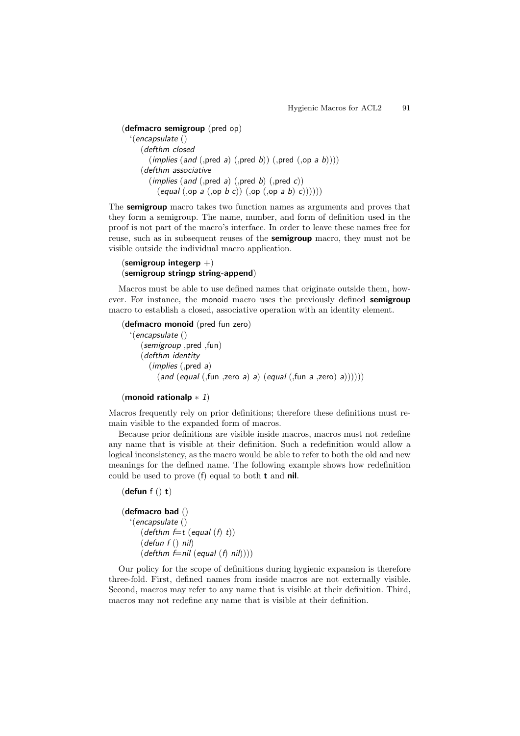(**defmacro semigroup** (pred op) '(*encapsulate* () (*defthm closed*  $(implies (and (,pred a) (,pred b)) (pred (op a b)))$ (*defthm associative* (*implies* (*and* (,pred *a*) (,pred *b*) (,pred *c*)) (*equal* (,op *a* (,op *b c*)) (,op (,op *a b*) *c*))))))

The **semigroup** macro takes two function names as arguments and proves that they form a semigroup. The name, number, and form of definition used in the proof is not part of the macro's interface. In order to leave these names free for reuse, such as in subsequent reuses of the **semigroup** macro, they must not be visible outside the individual macro application.

### (**semigroup integerp** +) (**semigroup stringp string-append**)

Macros must be able to use defined names that originate outside them, however. For instance, the monoid macro uses the previously defined **semigroup** macro to establish a closed, associative operation with an identity element.

```
(defmacro monoid (pred fun zero)
  '(encapsulate ()
     (semigroup ,pred ,fun)
     (defthm identity
       (implies (,pred a)
         (and (equal (,fun ,zero a) a) (equal (,fun a ,zero) a))))))
```

```
(monoid rationalp ∗ 1)
```
Macros frequently rely on prior definitions; therefore these definitions must remain visible to the expanded form of macros.

Because prior definitions are visible inside macros, macros must not redefine any name that is visible at their definition. Such a redefinition would allow a logical inconsistency, as the macro would be able to refer to both the old and new meanings for the defined name. The following example shows how redefinition could be used to prove (f) equal to both **t** and **nil**.

```
(defun f () t)
```
(**defmacro bad** () '(*encapsulate* () (*defthm f*= $t$  (*equal* (*f*)  $t$ )) (*defun f* () *nil*)  $(d$ *efthm f*=*nil* (*equal* (*f*) *nil*)))

Our policy for the scope of definitions during hygienic expansion is therefore three-fold. First, defined names from inside macros are not externally visible. Second, macros may refer to any name that is visible at their definition. Third, macros may not redefine any name that is visible at their definition.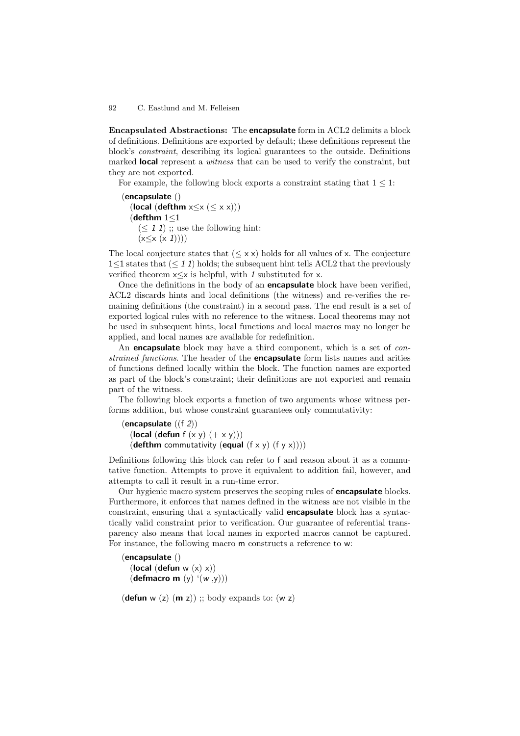**Encapsulated Abstractions:** The **encapsulate** form in ACL2 delimits a block of definitions. Definitions are exported by default; these definitions represent the block's *constraint*, describing its logical guarantees to the outside. Definitions marked **local** represent a *witness* that can be used to verify the constraint, but they are not exported.

For example, the following block exports a constraint stating that  $1 \leq 1$ :

(**encapsulate** () (**local** (**defthm** x≤x (≤ x x))) (**defthm** 1≤1  $(\leq 1 \, 1)$  ;; use the following hint:  $(x \leq x (x 1)))$ 

The local conjecture states that  $(\leq x \times)$  holds for all values of x. The conjecture 1≤1 states that (≤ *1 1*) holds; the subsequent hint tells ACL2 that the previously verified theorem x≤x is helpful, with *1* substituted for x.

Once the definitions in the body of an **encapsulate** block have been verified, ACL2 discards hints and local definitions (the witness) and re-verifies the remaining definitions (the constraint) in a second pass. The end result is a set of exported logical rules with no reference to the witness. Local theorems may not be used in subsequent hints, local functions and local macros may no longer be applied, and local names are available for redefinition.

An **encapsulate** block may have a third component, which is a set of *constrained functions*. The header of the **encapsulate** form lists names and arities of functions defined locally within the block. The function names are exported as part of the block's constraint; their definitions are not exported and remain part of the witness.

The following block exports a function of two arguments whose witness performs addition, but whose constraint guarantees only commutativity:

```
(encapsulate ((f 2))
  (local (defun f (x y) (+ x y)))
  (defthm commutativity (equal (f \times y) (f \times x)))
```
Definitions following this block can refer to f and reason about it as a commutative function. Attempts to prove it equivalent to addition fail, however, and attempts to call it result in a run-time error.

Our hygienic macro system preserves the scoping rules of **encapsulate** blocks. Furthermore, it enforces that names defined in the witness are not visible in the constraint, ensuring that a syntactically valid **encapsulate** block has a syntactically valid constraint prior to verification. Our guarantee of referential transparency also means that local names in exported macros cannot be captured. For instance, the following macro m constructs a reference to w:

(**encapsulate** () (**local** (**defun** w (x) x)) (**defmacro m** (y) '(*w* ,y)))

(**defun** w (z) (**m** z)) ;; body expands to: (w z)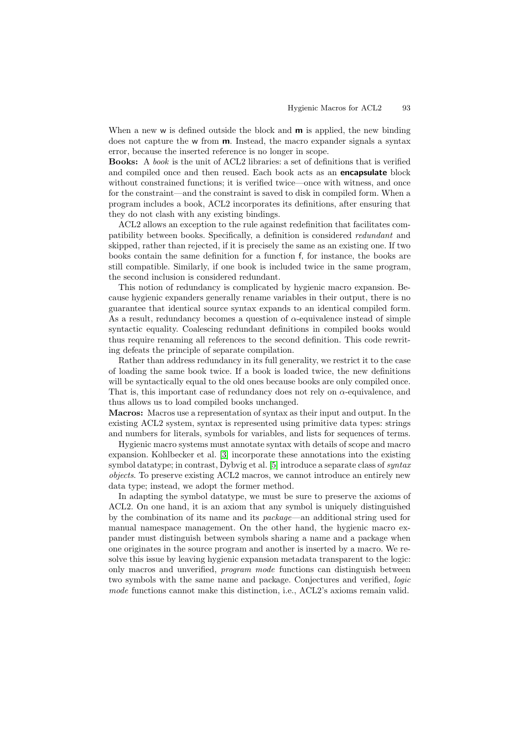When a new w is defined outside the block and **m** is applied, the new binding does not capture the w from **m**. Instead, the macro expander signals a syntax error, because the inserted reference is no longer in scope.

**Books:** A *book* is the unit of ACL2 libraries: a set of definitions that is verified and compiled once and then reused. Each book acts as an **encapsulate** block without constrained functions; it is verified twice—once with witness, and once for the constraint—and the constraint is saved to disk in compiled form. When a program includes a book, ACL2 incorporates its definitions, after ensuring that they do not clash with any existing bindings.

ACL2 allows an exception to the rule against redefinition that facilitates compatibility between books. Specifically, a definition is considered *redundant* and skipped, rather than rejected, if it is precisely the same as an existing one. If two books contain the same definition for a function f, for instance, the books are still compatible. Similarly, if one book is included twice in the same program, the second inclusion is considered redundant.

This notion of redundancy is complicated by hygienic macro expansion. Because hygienic expanders generally rename variables in their output, there is no guarantee that identical source syntax expands to an identical compiled form. As a result, redundancy becomes a question of  $\alpha$ -equivalence instead of simple syntactic equality. Coalescing redundant definitions in compiled books would thus require renaming all references to the second definition. This code rewriting defeats the principle of separate compilation.

Rather than address redundancy in its full generality, we restrict it to the case of loading the same book twice. If a book is loaded twice, the new definitions will be syntactically equal to the old ones because books are only compiled once. That is, this important case of redundancy does not rely on  $\alpha$ -equivalence, and thus allows us to load compiled books unchanged.

**Macros:** Macros use a representation of syntax as their input and output. In the existing ACL2 system, syntax is represented using primitive data types: strings and numbers for literals, symbols for variables, and lists for sequences of terms.

Hygienic macro systems must annotate syntax with details of scope and macro expansion. Kohlbecker et al. [\[3\]](#page-17-3) incorporate these annotations into the existing symbol datatype; in contrast, Dybvig et al. [\[5\]](#page-17-5) introduce a separate class of *syntax objects*. To preserve existing ACL2 macros, we cannot introduce an entirely new data type; instead, we adopt the former method.

In adapting the symbol datatype, we must be sure to preserve the axioms of ACL2. On one hand, it is an axiom that any symbol is uniquely distinguished by the combination of its name and its *package*—an additional string used for manual namespace management. On the other hand, the hygienic macro expander must distinguish between symbols sharing a name and a package when one originates in the source program and another is inserted by a macro. We resolve this issue by leaving hygienic expansion metadata transparent to the logic: only macros and unverified, *program mode* functions can distinguish between two symbols with the same name and package. Conjectures and verified, *logic mode* functions cannot make this distinction, i.e., ACL2's axioms remain valid.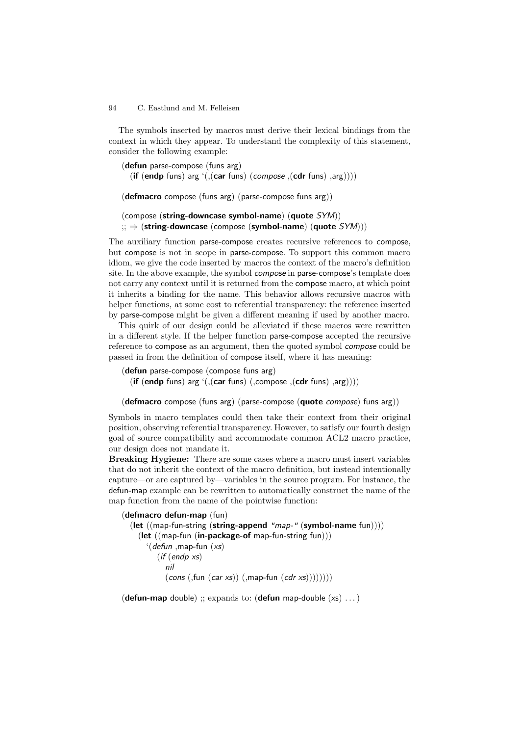The symbols inserted by macros must derive their lexical bindings from the context in which they appear. To understand the complexity of this statement, consider the following example:

(**defun** parse-compose (funs arg) (**if** (**endp** funs) arg '(,(**car** funs) (*compose* ,(**cdr** funs) ,arg))))

(**defmacro** compose (funs arg) (parse-compose funs arg))

```
(compose (string-downcase symbol-name) (quote SYM))
;; ⇒ (string-downcase (compose (symbol-name) (quote SYM)))
```
The auxiliary function parse-compose creates recursive references to compose, but compose is not in scope in parse-compose. To support this common macro idiom, we give the code inserted by macros the context of the macro's definition site. In the above example, the symbol *compose* in parse-compose's template does not carry any context until it is returned from the compose macro, at which point it inherits a binding for the name. This behavior allows recursive macros with helper functions, at some cost to referential transparency: the reference inserted by parse-compose might be given a different meaning if used by another macro.

This quirk of our design could be alleviated if these macros were rewritten in a different style. If the helper function parse-compose accepted the recursive reference to compose as an argument, then the quoted symbol *compose* could be passed in from the definition of compose itself, where it has meaning:

```
(defun parse-compose (compose funs arg)
  (if (endp funs) arg '(,(car funs) (,compose ,(cdr funs) ,arg))))
```
(**defmacro** compose (funs arg) (parse-compose (**quote** *compose*) funs arg))

Symbols in macro templates could then take their context from their original position, observing referential transparency. However, to satisfy our fourth design goal of source compatibility and accommodate common ACL2 macro practice, our design does not mandate it.

**Breaking Hygiene:** There are some cases where a macro must insert variables that do not inherit the context of the macro definition, but instead intentionally capture—or are captured by—variables in the source program. For instance, the defun-map example can be rewritten to automatically construct the name of the map function from the name of the pointwise function:

```
(defmacro defun-map (fun)
  (let ((map-fun-string (string-append "map-" (symbol-name fun))))
    (let ((map-fun (in-package-of map-fun-string fun)))
      '(defun ,map-fun (xs)
         (if (endp xs)
           nil
           (cons (,fun (car xs)) (,map-fun (cdr xs))))))))
```
(**defun-map** double) ;; expands to: (**defun** map-double (xs) ...)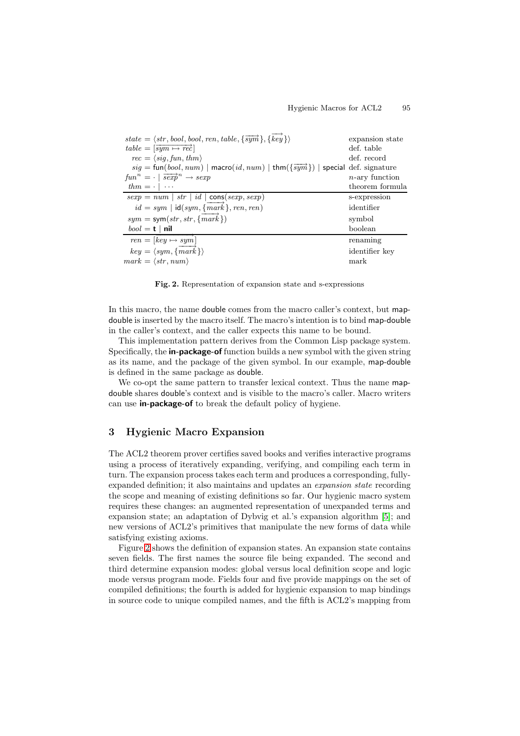| state = $\langle str, bool, bool, ren, table, \{\overrightarrow{sym}\}, \{\overrightarrow{key}\}\rangle$            | expansion state   |
|---------------------------------------------------------------------------------------------------------------------|-------------------|
| $table = \sqrt{sym \rightarrow rec}$                                                                                | def. table        |
| $rec = \langle sig, fun, thm \rangle$                                                                               | def. record       |
| $sig = \text{fun}(bool, num) \mid \text{macro}(id, num) \mid \text{thm}(\overline{sym})$ )   special def. signature |                   |
| $fun^n = \cdot   \overrightarrow{sexp}^n \rightarrow sexp$                                                          | $n$ -ary function |
| $thm = \cdot   \cdots$                                                                                              | theorem formula   |
| $sexp = num   str   id   cons(sexp, sexp)$                                                                          | s-expression      |
| $id = sym \mid id(sym, \{\overline{mark}\}, ren, ren)$                                                              | identifier        |
| $sym = sym(str, str, \{\overrightarrow{mark}\})$                                                                    | symbol            |
| $bool = t   nil$                                                                                                    | boolean           |
| $ren = [key \mapsto sym]$                                                                                           | renaming          |
| $key = \langle sym, \{\overline{mark}\}\rangle$                                                                     | identifier key    |
| $mark = \langle str, num \rangle$                                                                                   | mark              |

<span id="page-11-0"></span>**Fig. 2.** Representation of expansion state and s-expressions

In this macro, the name double comes from the macro caller's context, but mapdouble is inserted by the macro itself. The macro's intention is to bind map-double in the caller's context, and the caller expects this name to be bound.

This implementation pattern derives from the Common Lisp package system. Specifically, the **in-package-of** function builds a new symbol with the given string as its name, and the package of the given symbol. In our example, map-double is defined in the same package as double.

We co-opt the same pattern to transfer lexical context. Thus the name mapdouble shares double's context and is visible to the macro's caller. Macro writers can use **in-package-of** to break the default policy of hygiene.

## **3 Hygienic Macro Expansion**

The ACL2 theorem prover certifies saved books and verifies interactive programs using a process of iteratively expanding, verifying, and compiling each term in turn. The expansion process takes each term and produces a corresponding, fullyexpanded definition; it also maintains and updates an *expansion state* recording the scope and meaning of existing definitions so far. Our hygienic macro system requires these changes: an augmented representation of unexpanded terms and expansion state; an adaptation of Dybvig et al.'s expansion algorithm [\[5\]](#page-17-5); and new versions of ACL2's primitives that manipulate the new forms of data while satisfying existing axioms.

Figure [2](#page-11-0) shows the definition of expansion states. An expansion state contains seven fields. The first names the source file being expanded. The second and third determine expansion modes: global versus local definition scope and logic mode versus program mode. Fields four and five provide mappings on the set of compiled definitions; the fourth is added for hygienic expansion to map bindings in source code to unique compiled names, and the fifth is ACL2's mapping from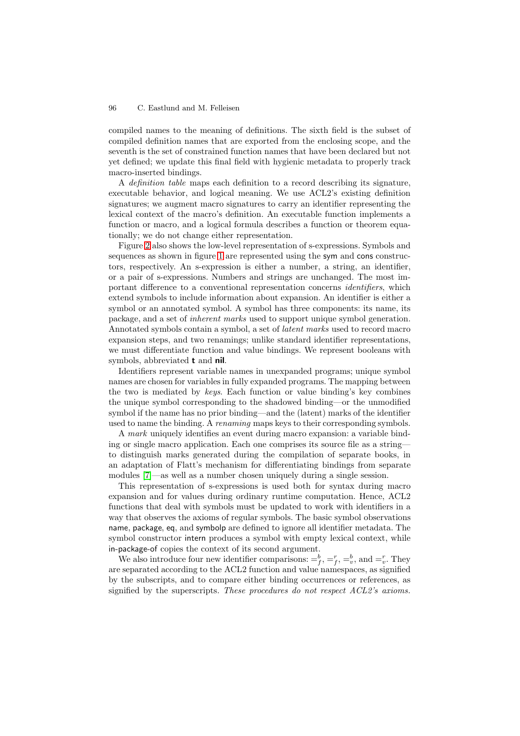compiled names to the meaning of definitions. The sixth field is the subset of compiled definition names that are exported from the enclosing scope, and the seventh is the set of constrained function names that have been declared but not yet defined; we update this final field with hygienic metadata to properly track macro-inserted bindings.

A *definition table* maps each definition to a record describing its signature, executable behavior, and logical meaning. We use ACL2's existing definition signatures; we augment macro signatures to carry an identifier representing the lexical context of the macro's definition. An executable function implements a function or macro, and a logical formula describes a function or theorem equationally; we do not change either representation.

Figure [2](#page-11-0) also shows the low-level representation of s-expressions. Symbols and sequences as shown in figure [1](#page-5-0) are represented using the sym and cons constructors, respectively. An s-expression is either a number, a string, an identifier, or a pair of s-expressions. Numbers and strings are unchanged. The most important difference to a conventional representation concerns *identifiers*, which extend symbols to include information about expansion. An identifier is either a symbol or an annotated symbol. A symbol has three components: its name, its package, and a set of *inherent marks* used to support unique symbol generation. Annotated symbols contain a symbol, a set of *latent marks* used to record macro expansion steps, and two renamings; unlike standard identifier representations, we must differentiate function and value bindings. We represent booleans with symbols, abbreviated **t** and **nil**.

Identifiers represent variable names in unexpanded programs; unique symbol names are chosen for variables in fully expanded programs. The mapping between the two is mediated by *keys*. Each function or value binding's key combines the unique symbol corresponding to the shadowed binding—or the unmodified symbol if the name has no prior binding—and the (latent) marks of the identifier used to name the binding. A *renaming* maps keys to their corresponding symbols.

A *mark* uniquely identifies an event during macro expansion: a variable binding or single macro application. Each one comprises its source file as a string to distinguish marks generated during the compilation of separate books, in an adaptation of Flatt's mechanism for differentiating bindings from separate modules [\[7\]](#page-17-7)—as well as a number chosen uniquely during a single session.

This representation of s-expressions is used both for syntax during macro expansion and for values during ordinary runtime computation. Hence, ACL2 functions that deal with symbols must be updated to work with identifiers in a way that observes the axioms of regular symbols. The basic symbol observations name, package, eq, and symbolp are defined to ignore all identifier metadata. The symbol constructor intern produces a symbol with empty lexical context, while in-package-of copies the context of its second argument.

We also introduce four new identifier comparisons:  $=\frac{b}{f}$ ,  $=\frac{r}{f}$ ,  $=\frac{b}{v}$ , and  $=\frac{r}{v}$ . They are separated according to the ACL2 function and value namespaces, as signified by the subscripts, and to compare either binding occurrences or references, as signified by the superscripts. *These procedures do not respect ACL2's axioms.*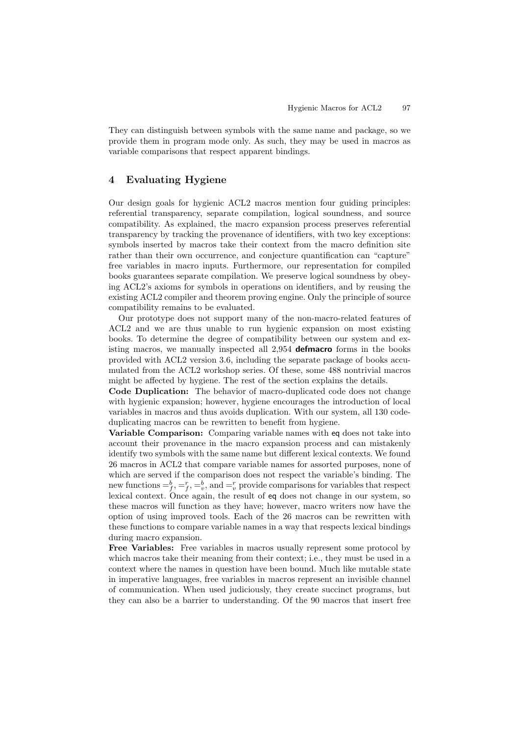They can distinguish between symbols with the same name and package, so we provide them in program mode only. As such, they may be used in macros as variable comparisons that respect apparent bindings.

## **4 Evaluating Hygiene**

Our design goals for hygienic ACL2 macros mention four guiding principles: referential transparency, separate compilation, logical soundness, and source compatibility. As explained, the macro expansion process preserves referential transparency by tracking the provenance of identifiers, with two key exceptions: symbols inserted by macros take their context from the macro definition site rather than their own occurrence, and conjecture quantification can "capture" free variables in macro inputs. Furthermore, our representation for compiled books guarantees separate compilation. We preserve logical soundness by obeying ACL2's axioms for symbols in operations on identifiers, and by reusing the existing ACL2 compiler and theorem proving engine. Only the principle of source compatibility remains to be evaluated.

Our prototype does not support many of the non-macro-related features of ACL2 and we are thus unable to run hygienic expansion on most existing books. To determine the degree of compatibility between our system and existing macros, we manually inspected all 2,954 **defmacro** forms in the books provided with ACL2 version 3.6, including the separate package of books accumulated from the ACL2 workshop series. Of these, some 488 nontrivial macros might be affected by hygiene. The rest of the section explains the details.

**Code Duplication:** The behavior of macro-duplicated code does not change with hygienic expansion; however, hygiene encourages the introduction of local variables in macros and thus avoids duplication. With our system, all 130 codeduplicating macros can be rewritten to benefit from hygiene.

**Variable Comparison:** Comparing variable names with eq does not take into account their provenance in the macro expansion process and can mistakenly identify two symbols with the same name but different lexical contexts. We found 26 macros in ACL2 that compare variable names for assorted purposes, none of which are served if the comparison does not respect the variable's binding. The new functions  $=\frac{b}{f}$ ,  $=\frac{r}{f}$ ,  $=\frac{b}{v}$ , and  $=\frac{r}{v}$  provide comparisons for variables that respect lexical context. Once again, the result of eq does not change in our system, so these macros will function as they have; however, macro writers now have the option of using improved tools. Each of the 26 macros can be rewritten with these functions to compare variable names in a way that respects lexical bindings during macro expansion.

**Free Variables:** Free variables in macros usually represent some protocol by which macros take their meaning from their context; i.e., they must be used in a context where the names in question have been bound. Much like mutable state in imperative languages, free variables in macros represent an invisible channel of communication. When used judiciously, they create succinct programs, but they can also be a barrier to understanding. Of the 90 macros that insert free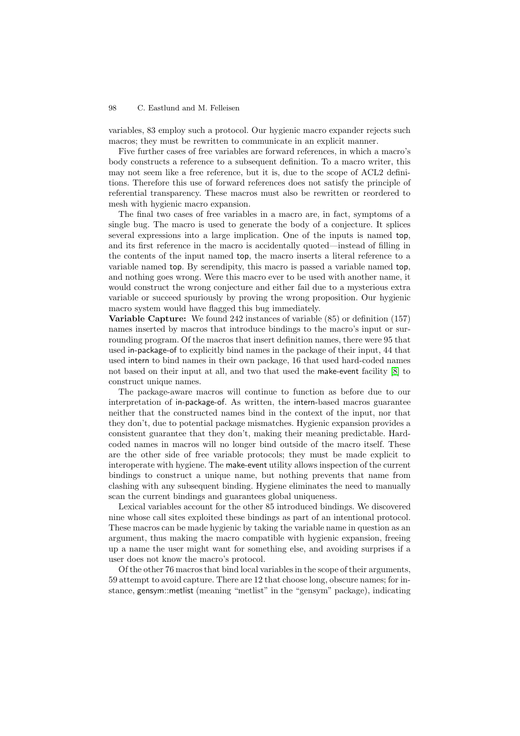variables, 83 employ such a protocol. Our hygienic macro expander rejects such macros; they must be rewritten to communicate in an explicit manner.

Five further cases of free variables are forward references, in which a macro's body constructs a reference to a subsequent definition. To a macro writer, this may not seem like a free reference, but it is, due to the scope of ACL2 definitions. Therefore this use of forward references does not satisfy the principle of referential transparency. These macros must also be rewritten or reordered to mesh with hygienic macro expansion.

The final two cases of free variables in a macro are, in fact, symptoms of a single bug. The macro is used to generate the body of a conjecture. It splices several expressions into a large implication. One of the inputs is named top, and its first reference in the macro is accidentally quoted—instead of filling in the contents of the input named top, the macro inserts a literal reference to a variable named top. By serendipity, this macro is passed a variable named top, and nothing goes wrong. Were this macro ever to be used with another name, it would construct the wrong conjecture and either fail due to a mysterious extra variable or succeed spuriously by proving the wrong proposition. Our hygienic macro system would have flagged this bug immediately.

**Variable Capture:** We found 242 instances of variable (85) or definition (157) names inserted by macros that introduce bindings to the macro's input or surrounding program. Of the macros that insert definition names, there were 95 that used in-package-of to explicitly bind names in the package of their input, 44 that used intern to bind names in their own package, 16 that used hard-coded names not based on their input at all, and two that used the make-event facility [\[8\]](#page-17-8) to construct unique names.

The package-aware macros will continue to function as before due to our interpretation of in-package-of. As written, the intern-based macros guarantee neither that the constructed names bind in the context of the input, nor that they don't, due to potential package mismatches. Hygienic expansion provides a consistent guarantee that they don't, making their meaning predictable. Hardcoded names in macros will no longer bind outside of the macro itself. These are the other side of free variable protocols; they must be made explicit to interoperate with hygiene. The make-event utility allows inspection of the current bindings to construct a unique name, but nothing prevents that name from clashing with any subsequent binding. Hygiene eliminates the need to manually scan the current bindings and guarantees global uniqueness.

Lexical variables account for the other 85 introduced bindings. We discovered nine whose call sites exploited these bindings as part of an intentional protocol. These macros can be made hygienic by taking the variable name in question as an argument, thus making the macro compatible with hygienic expansion, freeing up a name the user might want for something else, and avoiding surprises if a user does not know the macro's protocol.

Of the other 76 macros that bind local variables in the scope of their arguments, 59 attempt to avoid capture. There are 12 that choose long, obscure names; for instance, gensym::metlist (meaning "metlist" in the "gensym" package), indicating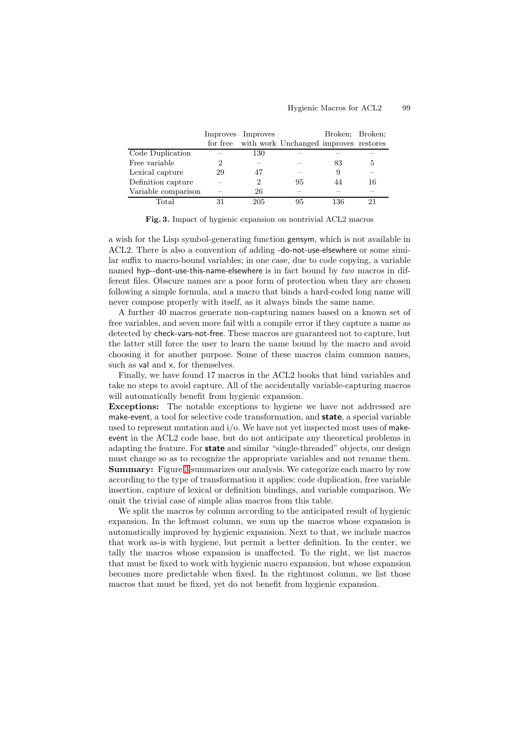|                     |          | Improves Improves |                                       | Broken; Broken; |    |
|---------------------|----------|-------------------|---------------------------------------|-----------------|----|
|                     | for free |                   | with work Unchanged improves restores |                 |    |
| Code Duplication    |          | 130               |                                       |                 |    |
| Free variable       | 2        |                   |                                       | 83              | 5  |
| Lexical capture     | 29       | 47                |                                       | 9               |    |
| Definition capture  |          | 2                 | 95                                    | 44              | 16 |
| Variable comparison |          | 26                |                                       |                 |    |
| Total               | 31       | 205               | 95                                    | 136             | 21 |

<span id="page-15-0"></span>**Fig. 3.** Impact of hygienic expansion on nontrivial ACL2 macros

a wish for the Lisp symbol-generating function gensym, which is not available in ACL2. There is also a convention of adding -do-not-use-elsewhere or some similar suffix to macro-bound variables; in one case, due to code copying, a variable named hyp--dont-use-this-name-elsewhere is in fact bound by *two* macros in different files. Obscure names are a poor form of protection when they are chosen following a simple formula, and a macro that binds a hard-coded long name will never compose properly with itself, as it always binds the same name.

A further 40 macros generate non-capturing names based on a known set of free variables, and seven more fail with a compile error if they capture a name as detected by check-vars-not-free. These macros are guaranteed not to capture, but the latter still force the user to learn the name bound by the macro and avoid choosing it for another purpose. Some of these macros claim common names, such as val and x, for themselves.

Finally, we have found 17 macros in the ACL2 books that bind variables and take no steps to avoid capture. All of the accidentally variable-capturing macros will automatically benefit from hygienic expansion.

**Exceptions:** The notable exceptions to hygiene we have not addressed are make-event, a tool for selective code transformation, and **state**, a special variable used to represent mutation and i/o. We have not yet inspected most uses of makeevent in the ACL2 code base, but do not anticipate any theoretical problems in adapting the feature. For **state** and similar "single-threaded" objects, our design must change so as to recognize the appropriate variables and not rename them. **Summary:** Figure [3](#page-15-0) summarizes our analysis. We categorize each macro by row according to the type of transformation it applies: code duplication, free variable insertion, capture of lexical or definition bindings, and variable comparison. We omit the trivial case of simple alias macros from this table.

We split the macros by column according to the anticipated result of hygienic expansion. In the leftmost column, we sum up the macros whose expansion is automatically improved by hygienic expansion. Next to that, we include macros that work as-is with hygiene, but permit a better definition. In the center, we tally the macros whose expansion is unaffected. To the right, we list macros that must be fixed to work with hygienic macro expansion, but whose expansion becomes more predictable when fixed. In the rightmost column, we list those macros that must be fixed, yet do not benefit from hygienic expansion.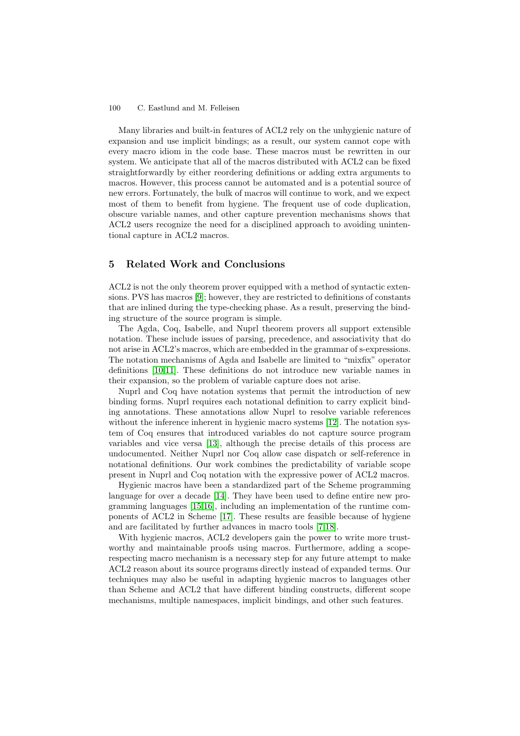Many libraries and built-in features of ACL2 rely on the unhygienic nature of expansion and use implicit bindings; as a result, our system cannot cope with every macro idiom in the code base. These macros must be rewritten in our system. We anticipate that all of the macros distributed with ACL2 can be fixed straightforwardly by either reordering definitions or adding extra arguments to macros. However, this process cannot be automated and is a potential source of new errors. Fortunately, the bulk of macros will continue to work, and we expect most of them to benefit from hygiene. The frequent use of code duplication, obscure variable names, and other capture prevention mechanisms shows that ACL2 users recognize the need for a disciplined approach to avoiding unintentional capture in ACL2 macros.

## **5 Related Work and Conclusions**

ACL2 is not the only theorem prover equipped with a method of syntactic extensions. PVS has macros [\[9\]](#page-17-9); however, they are restricted to definitions of constants that are inlined during the type-checking phase. As a result, preserving the binding structure of the source program is simple.

The Agda, Coq, Isabelle, and Nuprl theorem provers all support extensible notation. These include issues of parsing, precedence, and associativity that do not arise in ACL2's macros, which are embedded in the grammar of s-expressions. The notation mechanisms of Agda and Isabelle are limited to "mixfix" operator definitions [\[10](#page-17-10)[,11\]](#page-17-11). These definitions do not introduce new variable names in their expansion, so the problem of variable capture does not arise.

Nuprl and Coq have notation systems that permit the introduction of new binding forms. Nuprl requires each notational definition to carry explicit binding annotations. These annotations allow Nuprl to resolve variable references without the inference inherent in hygienic macro systems [\[12\]](#page-17-12). The notation system of Coq ensures that introduced variables do not capture source program variables and vice versa [\[13\]](#page-17-13), although the precise details of this process are undocumented. Neither Nuprl nor Coq allow case dispatch or self-reference in notational definitions. Our work combines the predictability of variable scope present in Nuprl and Coq notation with the expressive power of ACL2 macros.

Hygienic macros have been a standardized part of the Scheme programming language for over a decade [\[14\]](#page-17-14). They have been used to define entire new programming languages [\[15](#page-17-15)[,16\]](#page-17-16), including an implementation of the runtime components of ACL2 in Scheme [\[17\]](#page-17-17). These results are feasible because of hygiene and are facilitated by further advances in macro tools [\[7](#page-17-7)[,18\]](#page-17-18).

With hygienic macros, ACL2 developers gain the power to write more trustworthy and maintainable proofs using macros. Furthermore, adding a scoperespecting macro mechanism is a necessary step for any future attempt to make ACL2 reason about its source programs directly instead of expanded terms. Our techniques may also be useful in adapting hygienic macros to languages other than Scheme and ACL2 that have different binding constructs, different scope mechanisms, multiple namespaces, implicit bindings, and other such features.